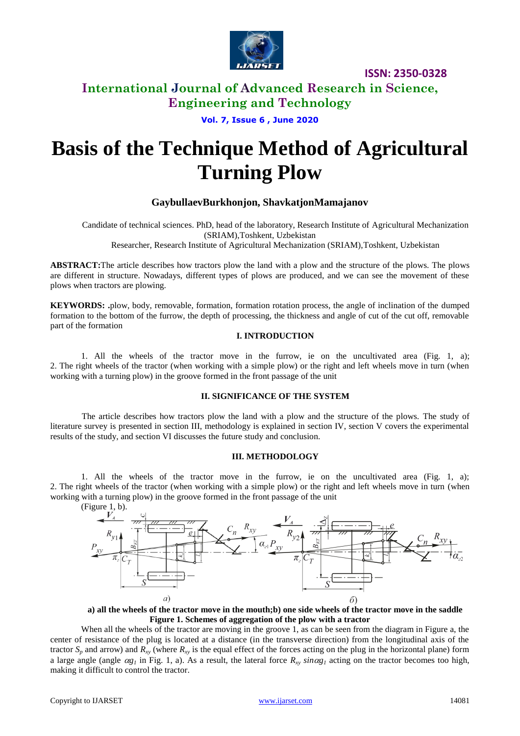

**ISSN: 2350-0328**

## **International Journal of Advanced Research in Science, Engineering and Technology**

**Vol. 7, Issue 6 , June 2020**

# **Basis of the Technique Method of Agricultural Turning Plow**

## **GaybullaevBurkhonjon, ShavkatjonMamajanov**

Candidate of technical sciences. PhD, head of the laboratory, Research Institute of Agricultural Mechanization (SRIAM),Toshkent, Uzbekistan

Researcher, Research Institute of Agricultural Mechanization (SRIAM),Toshkent, Uzbekistan

**ABSTRACT:**The article describes how tractors plow the land with a plow and the structure of the plows. The plows are different in structure. Nowadays, different types of plows are produced, and we can see the movement of these plows when tractors are plowing.

**KEYWORDS: .**plow, body, removable, formation, formation rotation process, the angle of inclination of the dumped formation to the bottom of the furrow, the depth of processing, the thickness and angle of cut of the cut off, removable part of the formation

#### **I. INTRODUCTION**

1. All the wheels of the tractor move in the furrow, ie on the uncultivated area (Fig. 1, a); 2. The right wheels of the tractor (when working with a simple plow) or the right and left wheels move in turn (when working with a turning plow) in the groove formed in the front passage of the unit

#### **II. SIGNIFICANCE OF THE SYSTEM**

The article describes how tractors plow the land with a plow and the structure of the plows. The study of literature survey is presented in section III, methodology is explained in section IV, section V covers the experimental results of the study, and section VI discusses the future study and conclusion.

#### **III. METHODOLOGY**

1. All the wheels of the tractor move in the furrow, ie on the uncultivated area (Fig. 1, a); 2. The right wheels of the tractor (when working with a simple plow) or the right and left wheels move in turn (when working with a turning plow) in the groove formed in the front passage of the unit



**a) all the wheels of the tractor move in the mouth;b) one side wheels of the tractor move in the saddle Figure 1. Schemes of aggregation of the plow with a tractor**

When all the wheels of the tractor are moving in the groove 1, as can be seen from the diagram in Figure a, the center of resistance of the plug is located at a distance (in the transverse direction) from the longitudinal axis of the tractor  $S_p$  and arrow) and  $R_{xy}$  (where  $R_{xy}$  is the equal effect of the forces acting on the plug in the horizontal plane) form a large angle (angle  $\alpha g_I$  in Fig. 1, a). As a result, the lateral force  $R_{xy}$  *sin* $\alpha g_I$  acting on the tractor becomes too high, making it difficult to control the tractor.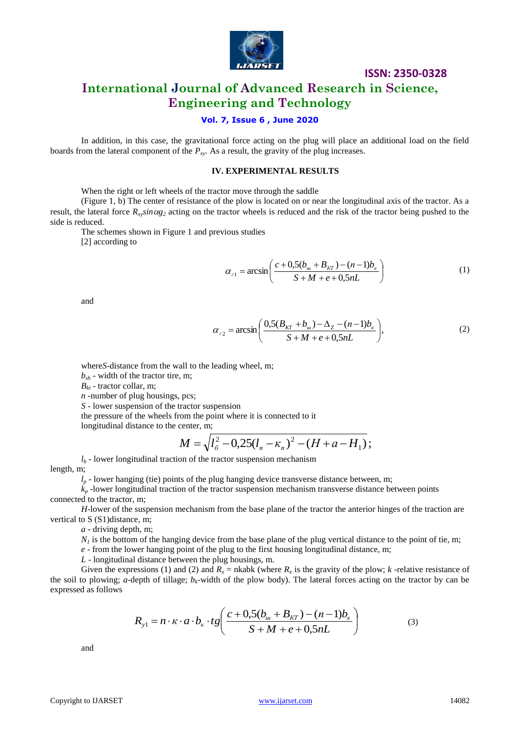

**ISSN: 2350-0328**

# **International Journal of Advanced Research in Science, Engineering and Technology**

## **Vol. 7, Issue 6 , June 2020**

In addition, in this case, the gravitational force acting on the plug will place an additional load on the field boards from the lateral component of the  $P_{XY}$ . As a result, the gravity of the plug increases.

#### **IV. EXPERIMENTAL RESULTS**

When the right or left wheels of the tractor move through the saddle

(Figure 1, b) The center of resistance of the plow is located on or near the longitudinal axis of the tractor. As a result, the lateral force  $R_x \sin \alpha g_2$  acting on the tractor wheels is reduced and the risk of the tractor being pushed to the side is reduced.

The schemes shown in Figure 1 and previous studies [2] according to

> $\overline{\phantom{a}}$ J  $\left(\frac{c+0.5(b_w+B_{KT})-(n-1)b_{\kappa}}{c} \right)$ L ſ  $+M+e+$  $= \arcsin \left( \frac{c + 0.5(b_u + B_{KT}) - (n - 1)}{c - 1} \right)$  $S + M + e + 0, 5nL$  $c_1 = \arcsin\left(\frac{c + 0.5(b_w + B_{KT}) - (n-1)b_w}{S + M + e + 0.5nL}\right)$  $\alpha_{21} = \arcsin\left(\frac{c + 0.5(b_w + B_{KT}) - (n-1)}{S + M + o + 0.5\pi L}\right)$ (1)

and

$$
\alpha_{22} = \arcsin\left(\frac{0.5(B_{KT} + b_w) - \Delta_Z - (n-1)b_{K}}{S + M + e + 0.5nL}\right),\tag{2}
$$

where *S*-distance from the wall to the leading wheel, m;

 $b_{sh}$  - width of the tractor tire, m;

 $B_{kt}$  - tractor collar, m;

*n -*number of plug housings, pcs;

*S* - lower suspension of the tractor suspension

the pressure of the wheels from the point where it is connected to it

longitudinal distance to the center, m;

$$
M = \sqrt{l_{\delta}^{2} - 0.25(l_{n} - \kappa_{n})^{2} - (H + a - H_{1})};
$$

 $l_b$  - lower longitudinal traction of the tractor suspension mechanism

length, m;

 $l_p$  - lower hanging (tie) points of the plug hanging device transverse distance between, m;

 $k_p$ -lower longitudinal traction of the tractor suspension mechanism transverse distance between points connected to the tractor, m;

*H*-lower of the suspension mechanism from the base plane of the tractor the anterior hinges of the traction are vertical to S (S1)distance, m;

*a* - driving depth, m;

 $N<sub>1</sub>$  is the bottom of the hanging device from the base plane of the plug vertical distance to the point of tie, m;

*e* - from the lower hanging point of the plug to the first housing longitudinal distance, m;

*L* - longitudinal distance between the plug housings, m.

Given the expressions (1) and (2) and  $R_x$  = nkabk (where  $R_x$  is the gravity of the plow;  $k$  -relative resistance of the soil to plowing; *a*-depth of tillage; *bk*-width of the plow body). The lateral forces acting on the tractor by can be expressed as follows

$$
R_{y1} = n \cdot \kappa \cdot a \cdot b_{\kappa} \cdot tg \left( \frac{c + 0.5(b_{\mu} + B_{KT}) - (n - 1)b_{\kappa}}{S + M + e + 0.5nL} \right) \tag{3}
$$

and